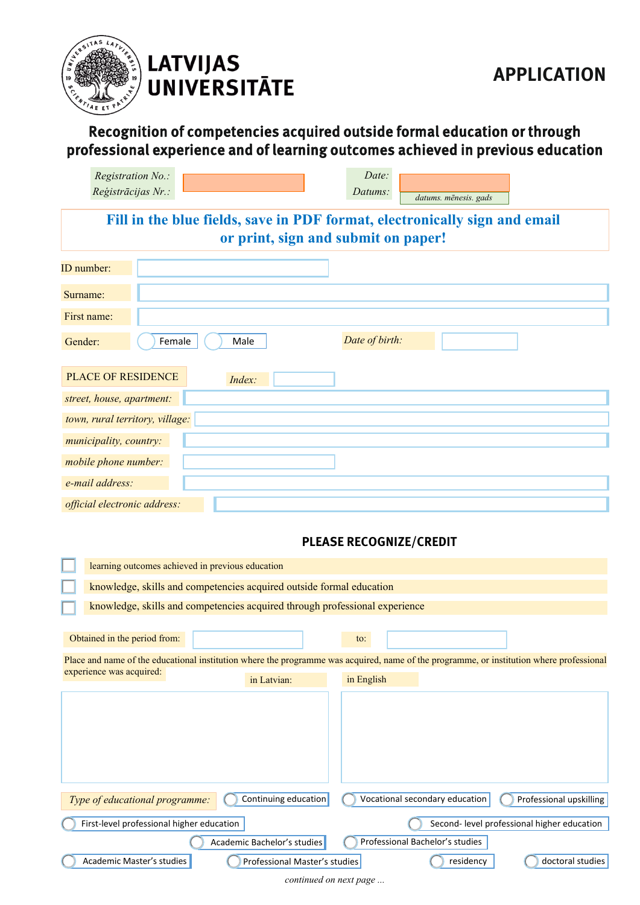

## **LATVIJAS UNIVERSITĀTE**

## Recognition of competencies acquired outside formal education or through professional experience and of learning outcomes achieved in previous education

| Registration No.:                                                                                                 | Date:                                                                                                                                    |  |  |  |  |  |  |  |
|-------------------------------------------------------------------------------------------------------------------|------------------------------------------------------------------------------------------------------------------------------------------|--|--|--|--|--|--|--|
| Reģistrācijas Nr.:                                                                                                | Datums:<br>datums. mēnesis. gads                                                                                                         |  |  |  |  |  |  |  |
|                                                                                                                   |                                                                                                                                          |  |  |  |  |  |  |  |
| Fill in the blue fields, save in PDF format, electronically sign and email<br>or print, sign and submit on paper! |                                                                                                                                          |  |  |  |  |  |  |  |
|                                                                                                                   |                                                                                                                                          |  |  |  |  |  |  |  |
| ID number:                                                                                                        |                                                                                                                                          |  |  |  |  |  |  |  |
| Surname:                                                                                                          |                                                                                                                                          |  |  |  |  |  |  |  |
| First name:                                                                                                       |                                                                                                                                          |  |  |  |  |  |  |  |
| Male<br>Gender:<br>Female                                                                                         | Date of birth:                                                                                                                           |  |  |  |  |  |  |  |
| <b>PLACE OF RESIDENCE</b><br>Index:                                                                               |                                                                                                                                          |  |  |  |  |  |  |  |
| street, house, apartment:                                                                                         |                                                                                                                                          |  |  |  |  |  |  |  |
| town, rural territory, village:                                                                                   |                                                                                                                                          |  |  |  |  |  |  |  |
| municipality, country:                                                                                            |                                                                                                                                          |  |  |  |  |  |  |  |
| mobile phone number:                                                                                              |                                                                                                                                          |  |  |  |  |  |  |  |
| e-mail address:                                                                                                   |                                                                                                                                          |  |  |  |  |  |  |  |
| official electronic address:                                                                                      |                                                                                                                                          |  |  |  |  |  |  |  |
|                                                                                                                   |                                                                                                                                          |  |  |  |  |  |  |  |
|                                                                                                                   | <b>PLEASE RECOGNIZE/CREDIT</b>                                                                                                           |  |  |  |  |  |  |  |
| learning outcomes achieved in previous education                                                                  |                                                                                                                                          |  |  |  |  |  |  |  |
| knowledge, skills and competencies acquired outside formal education                                              |                                                                                                                                          |  |  |  |  |  |  |  |
| knowledge, skills and competencies acquired through professional experience                                       |                                                                                                                                          |  |  |  |  |  |  |  |
| Obtained in the period from:                                                                                      | to:                                                                                                                                      |  |  |  |  |  |  |  |
|                                                                                                                   | Place and name of the educational institution where the programme was acquired, name of the programme, or institution where professional |  |  |  |  |  |  |  |
| experience was acquired:<br>in Latvian:                                                                           | in English                                                                                                                               |  |  |  |  |  |  |  |
|                                                                                                                   |                                                                                                                                          |  |  |  |  |  |  |  |
| Continuing education<br>Type of educational programme:                                                            | Vocational secondary education<br>Professional upskilling                                                                                |  |  |  |  |  |  |  |
| First-level professional higher education                                                                         | Second- level professional higher education                                                                                              |  |  |  |  |  |  |  |
| Academic Bachelor's studies                                                                                       | Professional Bachelor's studies                                                                                                          |  |  |  |  |  |  |  |